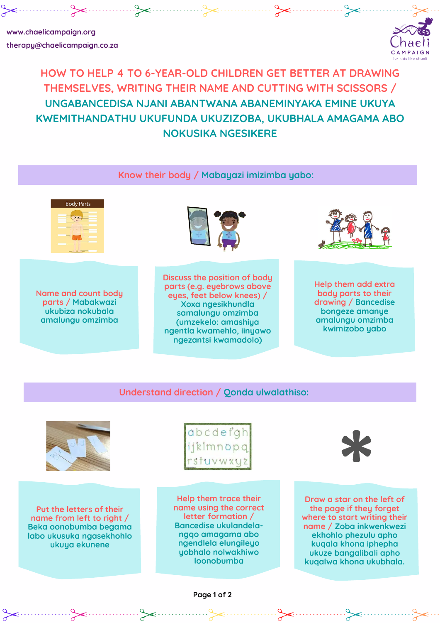**Name and count body parts / Mabakwazi ukubiza nokubala amalungu omzimba**

## **HOW TO HELP 4 TO 6-YEAR-OLD CHILDREN GET BETTER AT DRAWING THEMSELVES, WRITING THEIR NAME AND CUTTING WITH SCISSORS / UNGABANCEDISA NJANI ABANTWANA ABANEMINYAKA EMINE UKUYA KWEMITHANDATHU UKUFUNDA UKUZIZOBA, UKUBHALA AMAGAMA ABO NOKUSIKA NGESIKERE**

 $\sim$ 



**therapy@chaelicampaign.co.za**



**Discuss the position of body parts (e.g. eyebrows above eyes, feet below knees) / Xoxa ngesikhundla samalungu omzimba (umzekelo: amashiya ngentla kwamehlo, iinyawo**

**ngezantsi kwamadolo)**

**Help them add extra body parts to their drawing / Bancedise bongeze amanye amalungu omzimba kwimizobo yabo**

**Know their body / Mabayazi imizimba yabo:**

| <b>Body Parts</b> |
|-------------------|
|                   |
|                   |
|                   |
|                   |
|                   |





**Understand direction / Qonda ulwalathiso:**







**Put the letters of their name from left to right / Beka oonobumba begama labo ukusuka ngasekhohlo ukuya ekunene**

**Help them trace their name using the correct letter formation / Bancedise ukulandelangqo amagama abo ngendlela elungileyo yobhalo nolwakhiwo loonobumba**

**Draw a star on the left of the page if they forget where to start writing their name / Zoba inkwenkwezi ekhohlo phezulu apho kuqala khona iphepha ukuze bangalibali apho kuqalwa khona ukubhala.**

**Page 1 of 2**